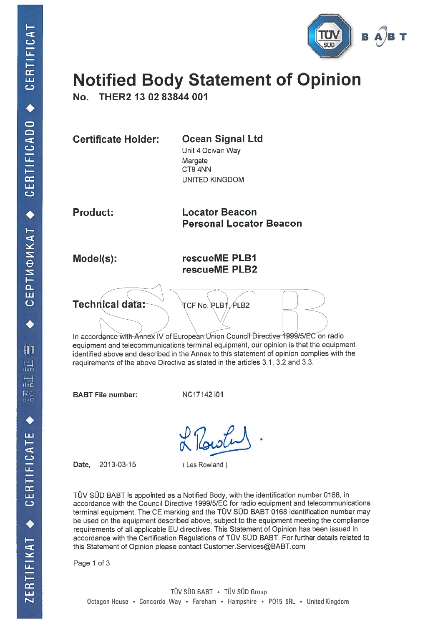

# Notified Body Statement of Opinion

No. THER2 13 02 83844 001

| <b>Ocean Signal Ltd</b><br>Unit 4 Ocivan Way<br>Margate<br>CT9 4NN<br>UNITED KINGDOM               |  |
|----------------------------------------------------------------------------------------------------|--|
| <b>Locator Beacon</b><br><b>Personal Locator Beacon</b>                                            |  |
| rescueME PLB1<br>rescueME PLB2                                                                     |  |
| TCF No. PLB1, PLB2<br>In accordance with Annex IV of European Union Council Directive 1999/5/EC on |  |
|                                                                                                    |  |

In accordance with Annex IV of European Union Counci<del>l</del> Directive 1999/5/EC on radio equipment and telecommunications terminal equipment, our opinion is that the equipment identified above and described in the Annex to this statement of opinion complies with the requirements of the above Directive as stated in the articles 3.1, 3.2 and 3.3.

BABT File number:

NC17142 i01

Date, 2013-03-15

(Les Rowland)

TUV SÜD BABT is appointed as <sup>a</sup> Notified Body, with the identification number 0168, in accordance with the Council Directive 1 999/5/EC for radio equipment and telecommunications terminal equipment. The CE marking and the TÜV SÜD BABT 0168 identification number may be used on the equipment described above, subject to the equipment meeting the compliance requirements of all applicable EU directives. This Statement of Opinion has been issued in accordance with the Certification Regulations of TUV SOD BABT. For further details related to this Statement of Opinion please contact Customer.Services@BABT.com

Page 1 of 3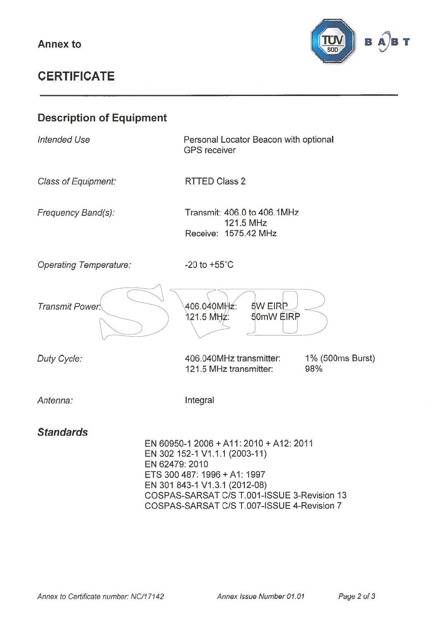

## **CERTIFICATE**

## Description of Equipment Intended Use Class of Equipment: Frequency Band(s): Operating Temperature.' Personal Locator Beacon with optional GPS receiver RTTED Class 2 Transmit: 406.0 to 406.1MHz 121.5 MHz Receive: 1575.42 MHz -20 to +55°C Transmit Power. 406.040M 121.5 MHz: 5W EIRP 50mW EIRP Duty Cycle: Antenna: 406.040MHz transmitter: 121.5 MHz transmitter: Integral 1 % (500ms Burst) 98% **Standards** EN 60950-1 2006 +A11: 2010 +A12: 2011 EN 302 152-1 V1.1.1 (2003-11) EN 62479: 2010 ETS 300487: 1996 +A1: 1997 EN 301 843-1 V1.3.1 (2012-08) COSPAS-SARSAT C/S T.001-ISSUE 3-Revision 13 COSPAS-SARSAT C/S T.007-ISSUE 4-Revision 7